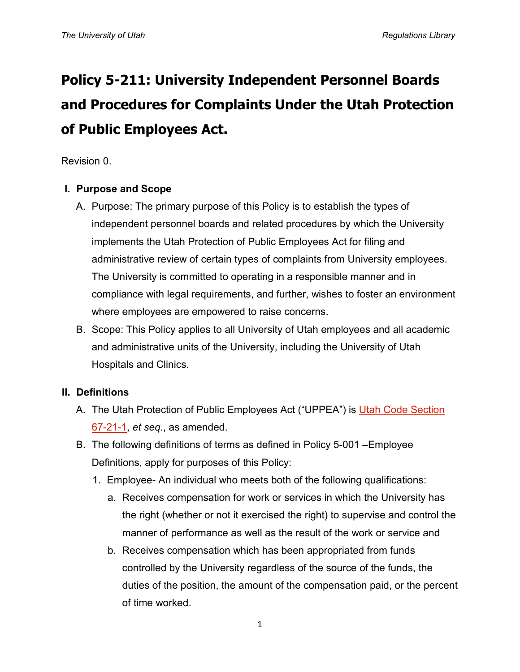# **Policy 5-211: University Independent Personnel Boards and Procedures for Complaints Under the Utah Protection of Public Employees Act.**

Revision 0.

## **I. Purpose and Scope**

- A. Purpose: The primary purpose of this Policy is to establish the types of independent personnel boards and related procedures by which the University implements the Utah Protection of Public Employees Act for filing and administrative review of certain types of complaints from University employees. The University is committed to operating in a responsible manner and in compliance with legal requirements, and further, wishes to foster an environment where employees are empowered to raise concerns.
- B. Scope: This Policy applies to all University of Utah employees and all academic and administrative units of the University, including the University of Utah Hospitals and Clinics.

## **II. Definitions**

- A. The Utah Protection of Public Employees Act ("UPPEA") is [Utah Code Section](https://le.utah.gov/xcode/Title67/Chapter21/67-21.html)  [67-21-1,](https://le.utah.gov/xcode/Title67/Chapter21/67-21.html) *et seq.*, as amended.
- B. The following definitions of terms as defined in Policy 5-001 –Employee Definitions, apply for purposes of this Policy:
	- 1. Employee- An individual who meets both of the following qualifications:
		- a. Receives compensation for work or services in which the University has the right (whether or not it exercised the right) to supervise and control the manner of performance as well as the result of the work or service and
		- b. Receives compensation which has been appropriated from funds controlled by the University regardless of the source of the funds, the duties of the position, the amount of the compensation paid, or the percent of time worked.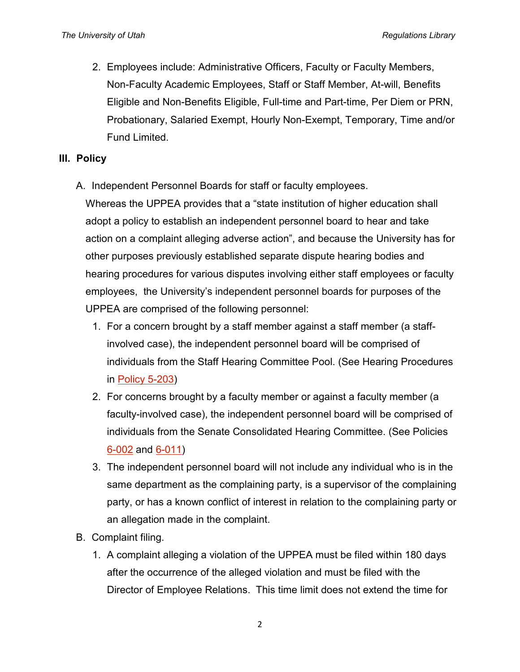2. Employees include: Administrative Officers, Faculty or Faculty Members, Non-Faculty Academic Employees, Staff or Staff Member, At-will, Benefits Eligible and Non-Benefits Eligible, Full-time and Part-time, Per Diem or PRN, Probationary, Salaried Exempt, Hourly Non-Exempt, Temporary, Time and/or Fund Limited.

#### **III. Policy**

A. Independent Personnel Boards for staff or faculty employees.

Whereas the UPPEA provides that a "state institution of higher education shall adopt a policy to establish an independent personnel board to hear and take action on a complaint alleging adverse action", and because the University has for other purposes previously established separate dispute hearing bodies and hearing procedures for various disputes involving either staff employees or faculty employees, the University's independent personnel boards for purposes of the UPPEA are comprised of the following personnel:

- 1. For a concern brought by a staff member against a staff member (a staffinvolved case), the independent personnel board will be comprised of individuals from the Staff Hearing Committee Pool. (See Hearing Procedures in [Policy 5-203\)](https://regulations.utah.edu/human-resources/5-203.php)
- 2. For concerns brought by a faculty member or against a faculty member (a faculty-involved case), the independent personnel board will be comprised of individuals from the Senate Consolidated Hearing Committee. (See Policies [6-002](https://regulations.utah.edu/academics/6-002.php) and [6-011\)](https://regulations.utah.edu/academics/6-011.php)
- 3. The independent personnel board will not include any individual who is in the same department as the complaining party, is a supervisor of the complaining party, or has a known conflict of interest in relation to the complaining party or an allegation made in the complaint.
- B. Complaint filing.
	- 1. A complaint alleging a violation of the UPPEA must be filed within 180 days after the occurrence of the alleged violation and must be filed with the Director of Employee Relations. This time limit does not extend the time for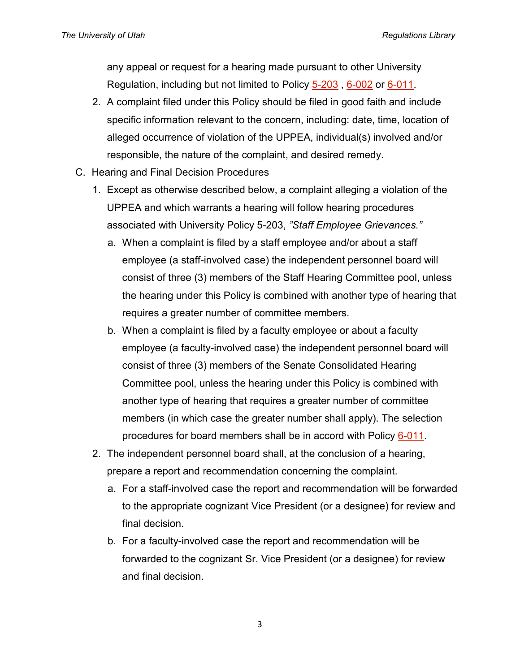any appeal or request for a hearing made pursuant to other University Regulation, including but not limited to Policy [5-203](https://regulations.utah.edu/human-resources/5-203.php) , [6-002](https://regulations.utah.edu/academics/6-002.php) or [6-011.](https://regulations.utah.edu/academics/6-011.php)

- 2. A complaint filed under this Policy should be filed in good faith and include specific information relevant to the concern, including: date, time, location of alleged occurrence of violation of the UPPEA, individual(s) involved and/or responsible, the nature of the complaint, and desired remedy.
- C. Hearing and Final Decision Procedures
	- 1. Except as otherwise described below, a complaint alleging a violation of the UPPEA and which warrants a hearing will follow hearing procedures associated with University Policy 5-203, *"Staff Employee Grievances."*
		- a. When a complaint is filed by a staff employee and/or about a staff employee (a staff-involved case) the independent personnel board will consist of three (3) members of the Staff Hearing Committee pool, unless the hearing under this Policy is combined with another type of hearing that requires a greater number of committee members.
		- b. When a complaint is filed by a faculty employee or about a faculty employee (a faculty-involved case) the independent personnel board will consist of three (3) members of the Senate Consolidated Hearing Committee pool, unless the hearing under this Policy is combined with another type of hearing that requires a greater number of committee members (in which case the greater number shall apply). The selection procedures for board members shall be in accord with Policy [6-011.](https://regulations.utah.edu/academics/6-011.php)
	- 2. The independent personnel board shall, at the conclusion of a hearing, prepare a report and recommendation concerning the complaint.
		- a. For a staff-involved case the report and recommendation will be forwarded to the appropriate cognizant Vice President (or a designee) for review and final decision.
		- b. For a faculty-involved case the report and recommendation will be forwarded to the cognizant Sr. Vice President (or a designee) for review and final decision.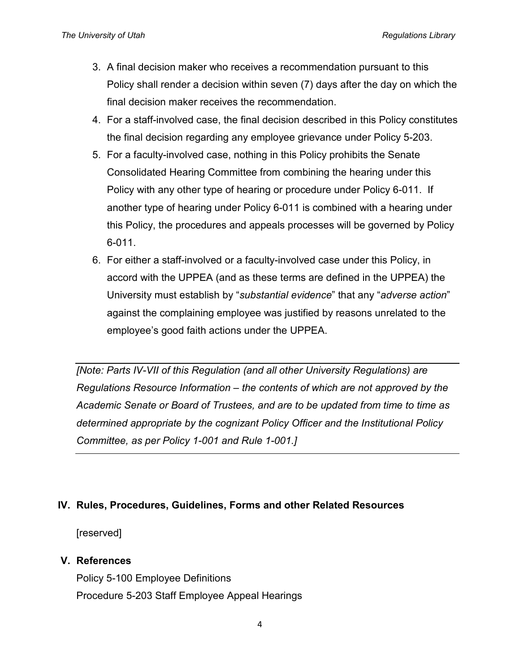- 3. A final decision maker who receives a recommendation pursuant to this Policy shall render a decision within seven (7) days after the day on which the final decision maker receives the recommendation.
- 4. For a staff-involved case, the final decision described in this Policy constitutes the final decision regarding any employee grievance under Policy 5-203.
- 5. For a faculty-involved case, nothing in this Policy prohibits the Senate Consolidated Hearing Committee from combining the hearing under this Policy with any other type of hearing or procedure under Policy 6-011. If another type of hearing under Policy 6-011 is combined with a hearing under this Policy, the procedures and appeals processes will be governed by Policy 6-011.
- 6. For either a staff-involved or a faculty-involved case under this Policy, in accord with the UPPEA (and as these terms are defined in the UPPEA) the University must establish by "*substantial evidence*" that any "*adverse action*" against the complaining employee was justified by reasons unrelated to the employee's good faith actions under the UPPEA.

*[Note: Parts IV-VII of this Regulation (and all other University Regulations) are Regulations Resource Information – the contents of which are not approved by the Academic Senate or Board of Trustees, and are to be updated from time to time as determined appropriate by the cognizant Policy Officer and the Institutional Policy Committee, as per Policy 1-001 and Rule 1-001.]*

## **IV. Rules, Procedures, Guidelines, Forms and other Related Resources**

[reserved]

#### **V. References**

Policy 5-100 Employee Definitions Procedure 5-203 Staff Employee Appeal Hearings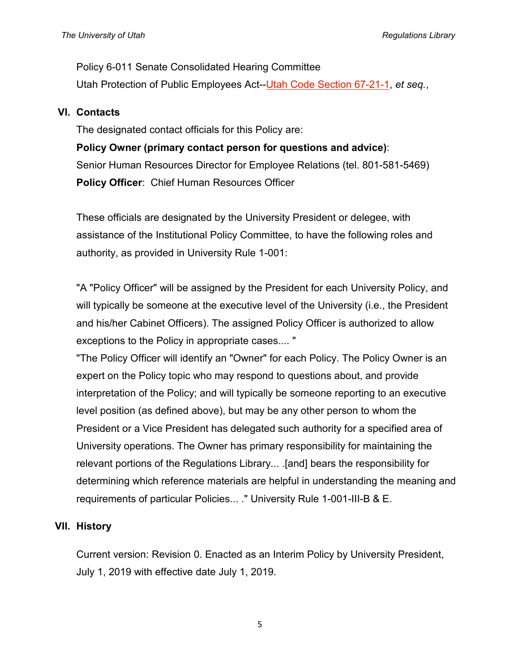Policy 6-011 Senate Consolidated Hearing Committee Utah Protection of Public Employees Act-[-Utah Code Section 67-21-1,](https://le.utah.gov/xcode/Title67/Chapter21/67-21.html) *et seq.*,

#### **VI. Contacts**

The designated contact officials for this Policy are:

**Policy Owner (primary contact person for questions and advice)**: Senior Human Resources Director for Employee Relations (tel. 801-581-5469) **Policy Officer**: Chief Human Resources Officer

These officials are designated by the University President or delegee, with assistance of the Institutional Policy Committee, to have the following roles and authority, as provided in University Rule 1-001:

"A "Policy Officer" will be assigned by the President for each University Policy, and will typically be someone at the executive level of the University (i.e., the President and his/her Cabinet Officers). The assigned Policy Officer is authorized to allow exceptions to the Policy in appropriate cases.... "

"The Policy Officer will identify an "Owner" for each Policy. The Policy Owner is an expert on the Policy topic who may respond to questions about, and provide interpretation of the Policy; and will typically be someone reporting to an executive level position (as defined above), but may be any other person to whom the President or a Vice President has delegated such authority for a specified area of University operations. The Owner has primary responsibility for maintaining the relevant portions of the Regulations Library... .[and] bears the responsibility for determining which reference materials are helpful in understanding the meaning and requirements of particular Policies... ." University Rule 1-001-III-B & E.

## **VII. History**

Current version: Revision 0. Enacted as an Interim Policy by University President, July 1, 2019 with effective date July 1, 2019.

5